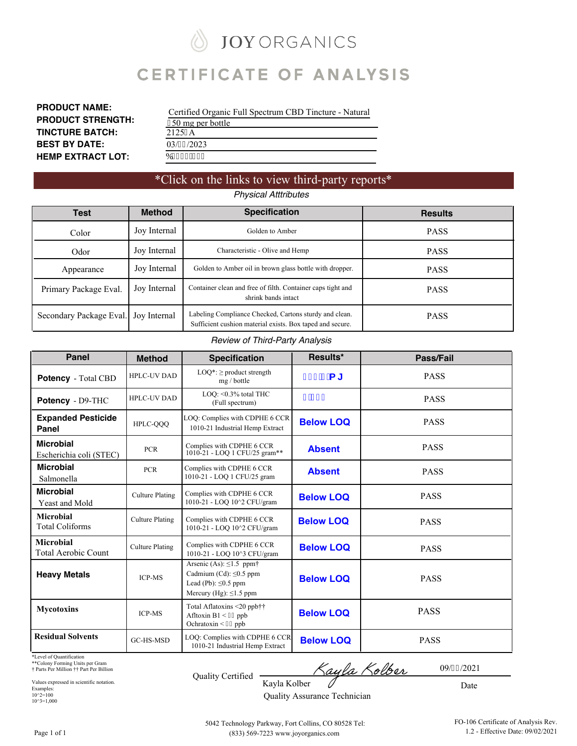# **JOY ORGANICS**

## **CERTIFICATE OF ANALYSIS**

**PRODUCT NAME: PRODUCT STRENGTH: TINCTURE BATCH: BEST BY DATE: HEMP EXTRACT LOT:**

| Certified Organic Full Spectrum CBD Tincture - Natural |
|--------------------------------------------------------|
| 650 mg per bottle                                      |
| 2125: A                                                |
| 03/37/2023                                             |
| D3433/223                                              |

### \*Click on the links to view third-party reports\* *Physical Atttributes*

| Test                                    | <b>Method</b> | <b>Specification</b>                                                                                                | <b>Results</b> |
|-----------------------------------------|---------------|---------------------------------------------------------------------------------------------------------------------|----------------|
| Color                                   | Joy Internal  | Golden to Amber                                                                                                     | <b>PASS</b>    |
| Odor                                    | Joy Internal  | Characteristic - Olive and Hemp                                                                                     | <b>PASS</b>    |
| Appearance                              | Joy Internal  | Golden to Amber oil in brown glass bottle with dropper.                                                             | <b>PASS</b>    |
| Primary Package Eval.                   | Joy Internal  | Container clean and free of filth. Container caps tight and<br>shrink bands intact                                  | <b>PASS</b>    |
| Secondary Package Eval.<br>Joy Internal |               | Labeling Compliance Checked, Cartons sturdy and clean.<br>Sufficient cushion material exists. Box taped and secure. | <b>PASS</b>    |

#### *Review of Third-Party Analysis*

| <b>Panel</b>                                | <b>Method</b>          | <b>Specification</b>                                                                                                             | Results*         | Pass/Fail   |
|---------------------------------------------|------------------------|----------------------------------------------------------------------------------------------------------------------------------|------------------|-------------|
| <b>Potency</b> - Total CBD                  | <b>HPLC-UV DAD</b>     | $LOQ^*$ : $\geq$ product strength<br>mg / bottle                                                                                 | $(*)$ "+ a [     | <b>PASS</b> |
| Potency - D9-THC                            | <b>HPLC-UV DAD</b>     | LOQ: <0.3% total THC<br>(Full spectrum)                                                                                          | $$$ '\$) 1       | <b>PASS</b> |
| <b>Expanded Pesticide</b><br>Panel          | HPLC-QQQ               | LOQ: Complies with CDPHE 6 CCR<br>1010-21 Industrial Hemp Extract                                                                | <b>Below LOQ</b> | <b>PASS</b> |
| <b>Microbial</b><br>Escherichia coli (STEC) | <b>PCR</b>             | Complies with CDPHE 6 CCR<br>1010-21 - LOQ 1 CFU/25 gram**                                                                       | <b>Absent</b>    | <b>PASS</b> |
| <b>Microbial</b><br>Salmonella              | <b>PCR</b>             | Complies with CDPHE 6 CCR<br>1010-21 - LOQ 1 CFU/25 gram                                                                         | <b>Absent</b>    | <b>PASS</b> |
| <b>Microbial</b><br>Yeast and Mold          | <b>Culture Plating</b> | Complies with CDPHE 6 CCR<br>1010-21 - LOQ 10^2 CFU/gram                                                                         | <b>Below LOQ</b> | <b>PASS</b> |
| Microbial<br><b>Total Coliforms</b>         | <b>Culture Plating</b> | Complies with CDPHE 6 CCR<br>1010-21 - LOO 10^2 CFU/gram                                                                         | <b>Below LOO</b> | <b>PASS</b> |
| <b>Microbial</b><br>Total Aerobic Count     | <b>Culture Plating</b> | Complies with CDPHE 6 CCR<br>1010-21 - LOO 10^3 CFU/gram                                                                         | <b>Below LOQ</b> | <b>PASS</b> |
| <b>Heavy Metals</b>                         | <b>ICP-MS</b>          | Arsenic (As): $\leq$ 1.5 ppm <sup>+</sup><br>Cadmium (Cd): ≤0.5 ppm<br>Lead (Pb): $\leq 0.5$ ppm<br>Mercury (Hg): $\leq$ 1.5 ppm | <b>Below LOQ</b> | <b>PASS</b> |
| <b>Mycotoxins</b>                           | <b>ICP-MS</b>          | Total Aflatoxins <20 ppb††<br>Afltoxin $B1 < 42$ ppb<br>Ochratoxin < $42$ ppb                                                    | <b>Below LOQ</b> | <b>PASS</b> |
| <b>Residual Solvents</b>                    | GC-HS-MSD              | LOQ: Complies with CDPHE 6 CCR<br>1010-21 Industrial Hemp Extract                                                                | <b>Below LOQ</b> | <b>PASS</b> |

\*Level of Quantification

\*\*Colony Forming Units per Gram † Parts Per Million †† Part Per Billion

Values expressed in scientific notation. Examples: 10^2=100 10^3=1,000

Quality Certified

Kayla Kolber 7

Date

Kayla Kolber Quality Assurance Technician

09/43/2021

Page 1 of 1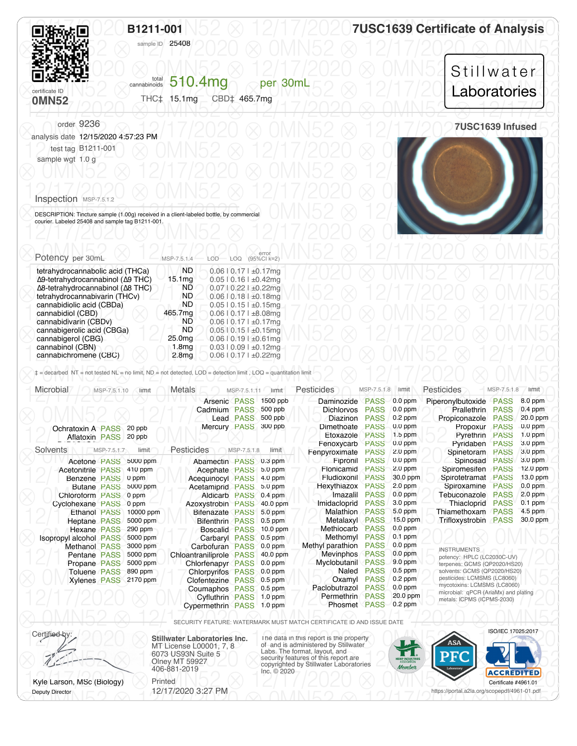<span id="page-1-0"></span>

|                                                                                             | B1211-001<br>sample ID 25408                                 | <b>7USC1639 Certificate of Analysis</b> |  |  |  |  |
|---------------------------------------------------------------------------------------------|--------------------------------------------------------------|-----------------------------------------|--|--|--|--|
| certificate ID<br><b>OMN52</b>                                                              | cannabinoids 510.4mg<br>per 30mL<br>THC‡ 15.1mg CBD‡ 465.7mg | Stillwater<br>Laboratories              |  |  |  |  |
| order 9236<br>analysis date 12/15/2020 4:57:23 PM<br>test tag B1211-001<br>sample wgt 1.0 g |                                                              | 7USC1639 Infused                        |  |  |  |  |
| Inspection MSP-7.5.1.2                                                                      |                                                              |                                         |  |  |  |  |

Deputy Director

**DESCRIPTION: Tincture sample (1.00g) received in a client-labeled bottle, by commercial and sample tag B1211-001.** 12/17/2020 ⨂ 0MN52 ⨂ 12/17/2020 ⨂ 0MN52 ⨂ 12/17/2020 courier. Labeled 25408 and sample tag B1211-001.

| Potency per 30mL                                  | MSP-7.5.1.4        | error<br>LOD LOQ (95%CI k=2)    |  |  |  |  |
|---------------------------------------------------|--------------------|---------------------------------|--|--|--|--|
| tetrahydrocannabolic acid (THCa)                  | ND                 | $0.06$   $0.17$   $\pm 0.17$ mg |  |  |  |  |
| Δ9-tetrahydrocannabinol (Δ9 THC)                  | 15.1 <sub>mg</sub> | $0.05$   0.16   $\pm 0.42$ mg   |  |  |  |  |
| $\Delta$ 8-tetrahydrocannabinol ( $\Delta$ 8 THC) | ND                 | $0.07$   0.22   $\pm 0.22$ mg   |  |  |  |  |
| tetrahydrocannabivarin (THCv)                     | <b>ND</b>          | $0.06$   0.18   $\pm 0.18$ mg   |  |  |  |  |
| cannabidiolic acid (CBDa)                         | ND                 | $0.05$   $0.15$   $\pm 0.15$ mg |  |  |  |  |
| cannabidiol (CBD)                                 | 465.7mg            | $0.06$   $0.17$   $\pm 8.08$ mg |  |  |  |  |
| cannabidivarin (CBDv)                             | ND                 | $0.06$   $0.17$   $\pm 0.17$ mg |  |  |  |  |
| cannabigerolic acid (CBGa)                        | <b>ND</b>          | $0.05$   $0.15$   $\pm 0.15$ mg |  |  |  |  |
| cannabigerol (CBG)                                | 25.0 <sub>mg</sub> | $0.06$   $0.19$   $\pm 0.61$ mg |  |  |  |  |
| cannabinol (CBN)                                  | 1.8 <sub>mq</sub>  | $0.03$   $0.09$   $\pm 0.12$ mg |  |  |  |  |
| cannabichromene (CBC)                             | 2.8 <sub>mq</sub>  | $0.06$   $0.17$   $\pm 0.22$ mg |  |  |  |  |

| Microbial                     | MSP-7.5.1.10        | limit     | <b>Metals</b>            | MSP-7.5.1.11     | limit      | Pesticides          | MSP-7.5.1.8 | limit      | Pesticides                                                 | MSP-7.5.1.8 | limit      |
|-------------------------------|---------------------|-----------|--------------------------|------------------|------------|---------------------|-------------|------------|------------------------------------------------------------|-------------|------------|
|                               |                     |           | Arsenic PASS             |                  | 1500 ppb   | Daminozide          | <b>PASS</b> | $0.0$ ppm  | Piperonylbutoxide                                          | <b>PASS</b> | 8.0 ppm    |
|                               |                     |           | Cadmium PASS             |                  | 500 ppb    | <b>Dichlorvos</b>   | <b>PASS</b> | $0.0$ ppm  | <b>Prallethrin</b>                                         | <b>PASS</b> | $0.4$ ppm  |
|                               |                     |           |                          | <b>Lead PASS</b> | 500 ppb    | Diazinon            | <b>PASS</b> | $0.2$ ppm  | Propiconazole                                              | <b>PASS</b> | 20.0 ppm   |
| Ochratoxin A PASS             |                     | 20 ppb    | Mercury PASS             |                  | 300 ppb    | Dimethoate          | <b>PASS</b> | $0.0$ ppm  | Propoxur                                                   | <b>PASS</b> | $0.0$ ppm  |
| Aflatoxin PASS                |                     | 20 ppb    |                          |                  |            | Etoxazole           | <b>PASS</b> | $1.5$ ppm  | Pyrethrin                                                  | <b>PASS</b> | $1.0$ ppm  |
|                               |                     |           |                          |                  |            | Fenoxycarb          | <b>PASS</b> | $0.0$ ppm  | Pvridaben                                                  | <b>PASS</b> | 3.0 ppm    |
| <b>Solvents</b>               | MSP-7.5.1.7         | limit     | Pesticides               | MSP-7.5.1.8      | limit      | Fenpyroximate       | <b>PASS</b> | $2.0$ ppm  | Spinetoram                                                 | <b>PASS</b> | $3.0$ ppm  |
| Acetone PASS                  |                     | 5000 ppm  | Abamectin PASS 0.3 ppm   |                  |            | Fipronil            | <b>PASS</b> | $0.0$ ppm  | Spinosad                                                   | <b>PASS</b> | $3.0$ ppm  |
| <b>Acetonitrile PASS</b>      |                     | 410 ppm   | Acephate PASS            |                  | $5.0$ ppm  | Flonicamid          | <b>PASS</b> | $2.0$ ppm  | Spiromesifen                                               | <b>PASS</b> | $12.0$ ppm |
| Benzene PASS                  |                     | 0 ppm     | <b>Acequinocyl PASS</b>  |                  | $4.0$ ppm  | Fludioxonil         | <b>PASS</b> | 30.0 ppm   | Spirotetramat                                              | <b>PASS</b> | 13.0 ppm   |
|                               | <b>Butane PASS</b>  | 5000 ppm  | Acetamiprid PASS         |                  | $5.0$ ppm  | Hexythiazox         | <b>PASS</b> | $2.0$ ppm  | Spiroxamine                                                | <b>PASS</b> | $0.0$ ppm  |
| Chloroform PASS               |                     | 0 ppm     | <b>Aldicarb PASS</b>     |                  | $0.4$ ppm  | Imazalil            | <b>PASS</b> | $0.0$ ppm  | Tebuconazole                                               | <b>PASS</b> | $2.0$ ppm  |
| Cyclohexane PASS              |                     | 0 ppm     | Azoxystrobin PASS        |                  | 40.0 ppm   | Imidacloprid        | <b>PASS</b> | 3.0 ppm    | Thiacloprid                                                | <b>PASS</b> | $0.1$ ppm  |
| <b>Ethanol PASS</b>           |                     | 10000 ppm | <b>Bifenazate PASS</b>   |                  | $5.0$ ppm  | Malathion           | PASS        | $5.0$ ppm  | Thiamethoxam                                               | <b>PASS</b> | $4.5$ ppm  |
| Heptane PASS                  |                     | 5000 ppm  | <b>Bifenthrin PASS</b>   |                  | $0.5$ ppm  | Metalaxyl           | <b>PASS</b> | $15.0$ ppm | Trifloxystrobin                                            | <b>PASS</b> | 30.0 ppm   |
| Hexane PASS                   |                     | 290 ppm   | <b>Boscalid PASS</b>     |                  | $10.0$ ppm | Methiocarb          | <b>PASS</b> | $0.0$ ppm  |                                                            |             |            |
| <b>Isopropyl alcohol PASS</b> |                     | 5000 ppm  | Carbaryl PASS 0.5 ppm    |                  |            | Methomyl            | <b>PASS</b> | $0.1$ ppm  |                                                            |             |            |
| <b>Methanol PASS</b>          |                     | 3000 ppm  | Carbofuran PASS          |                  | $0.0$ ppm  | Methyl parathion    | <b>PASS</b> | $0.0$ ppm  | <b>INSTRUMENTS</b>                                         |             |            |
| Pentane PASS                  |                     | 5000 ppm  | Chloantraniliprole PASS  |                  | 40.0 ppm   | <b>Mevinphos</b>    | <b>PASS</b> | $0.0$ ppm  | potency: HPLC (LC2030C-UV)                                 |             |            |
| Propane PASS                  |                     | 5000 ppm  | Chlorfenapyr PASS        |                  | $0.0$ ppm  | Myclobutanil PASS   |             | 9.0 ppm    | terpenes: GCMS (QP2020/HS20)                               |             |            |
| <b>Toluene PASS</b>           |                     | 890 ppm   | <b>Chlorpyrifos PASS</b> |                  | $0.0$ ppm  | Naled               | <b>PASS</b> | $0.5$ ppm  | solvents: GCMS (QP2020/HS20)                               |             |            |
|                               | <b>Xylenes PASS</b> | 2170 ppm  | Clofentezine             | <b>PASS</b>      | $0.5$ ppm  | Oxamyl              | <b>PASS</b> | $0.2$ ppm  | pesticides: LCMSMS (LC8060)<br>mycotoxins: LCMSMS (LC8060) |             |            |
|                               |                     |           | Coumaphos PASS           |                  | $0.5$ ppm  | Paclobutrazol       | <b>PASS</b> | $0.0$ ppm  | microbial: qPCR (AriaMx) and plating                       |             |            |
|                               |                     |           | <b>Cyfluthrin PASS</b>   |                  | $1.0$ ppm  | <b>Permethrin</b>   | PASS        | 20.0 ppm   | metals: ICPMS (ICPMS-2030)                                 |             |            |
|                               |                     |           | Cypermethrin PASS        |                  | $1.0$ ppm  | <b>Phosmet PASS</b> |             | $0.2$ ppm  |                                                            |             |            |

⨂ 0MN52 ⨂ 12/17/2020 ⨂ 0MN52 ⨂ 12/17/2020 ⨂ 0MN52 ⨂ SECURITY FEATURE: WATERMARK MUST MATCH CERTIFICATE ID AND ISSUE DATE

Certified by: **Stillwater Laboratories Inc.** MT License L00001, 7, 8 6073 US93N Suite 5 Olney MT 59927 406-881-2019 Kyle Larson, MSc (Biology) Printed

 $\bigotimes$  behaving the contract  $\bigotimes$  12/11/2020 0.21/1990  $\bigotimes$  10/11/152  $\bigotimes$  12/17/2010  $\bigotimes$  12/17/2020  $\bigotimes$ 12/17/2020 3:27 PM

Certified by:<br>MT License L00001, 7, 8<br>6073 US93N Suite 5<br>Labs. The format, layout, and<br>Labs. The format, layout, and CONSUSSION Suite 5<br>
Olney MT 59927<br>
106-881-2019<br>
Inc. © 2020<br>
Inc. © 2020 Ryle Larson, MSc (Biology)<br>
12/17/2020 3:27 PM<br>
Dentificate #4961.01 Certificate #4961.01 ISO/IEC 17025:2017

https://portal.a2la.org/scopepdf/4961-01.pdf